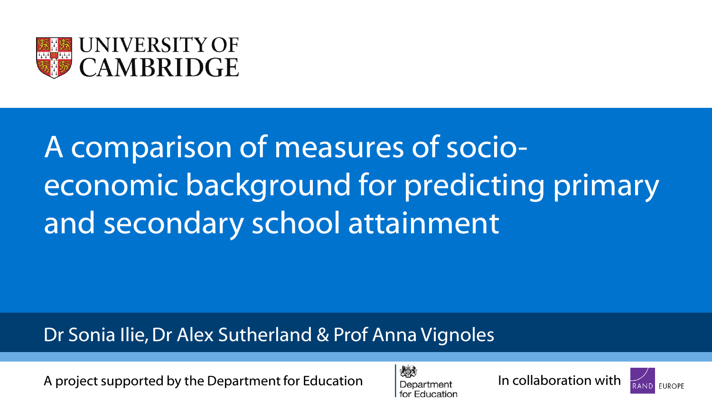

# A comparison of measures of socioeconomic background for predicting primary and secondary school attainment

#### Dr Sonia Ilie, Dr Alex Sutherland & Prof Anna Vignoles

A project supported by the Department for Education  $\frac{1}{2}$  Department In collaboration with





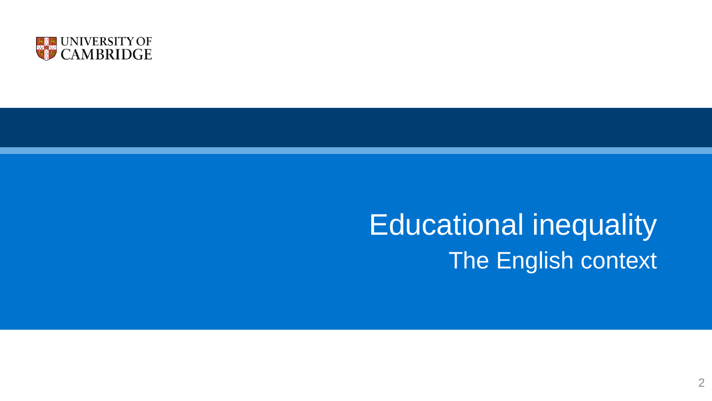

## Educational inequality The English context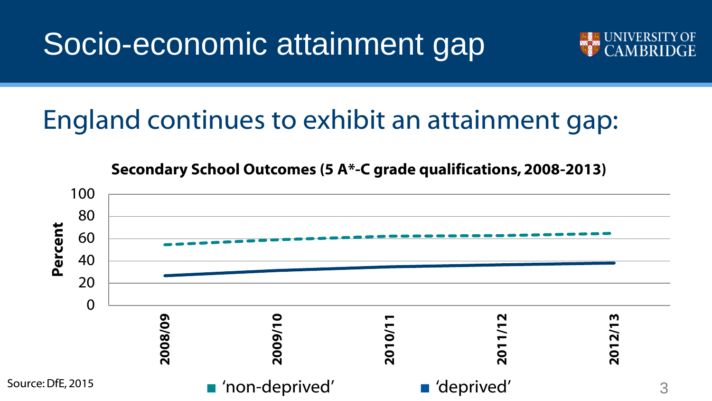Socio-economic attainment gap



## England continues to exhibit an attainment gap:

**Secondary School Outcomes (5 A\*-C grade qualifications, 2008-2013)**

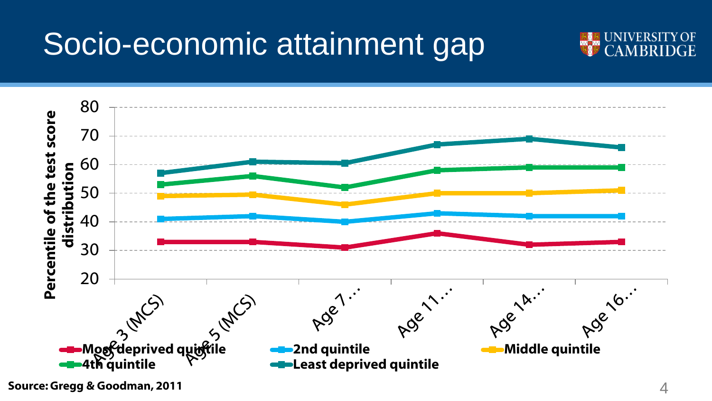# Socio-economic attainment gap





**Source: Gregg & Goodman, 2011** 4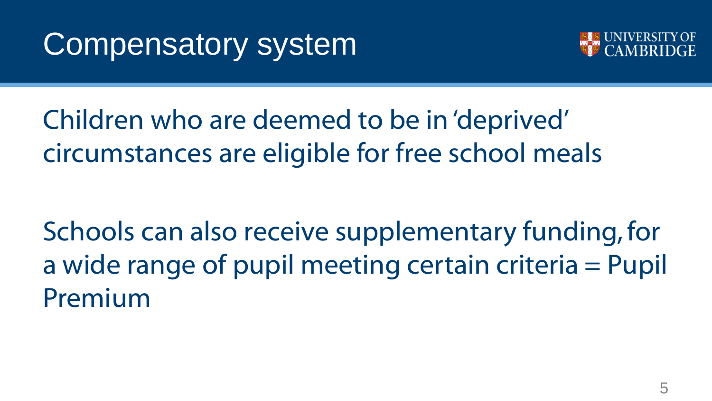

Children who are deemed to be in 'deprived' circumstances are eligible for free school meals

Schools can also receive supplementary funding, for a wide range of pupil meeting certain criteria = Pupil Premium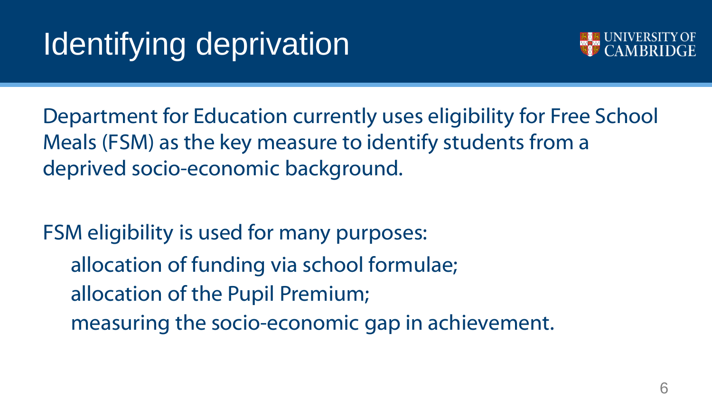# Identifying deprivation



Department for Education currently uses eligibility for Free School Meals (FSM) as the key measure to identify students from a deprived socio-economic background.

FSM eligibility is used for many purposes: allocation of funding via school formulae; allocation of the Pupil Premium; measuring the socio-economic gap in achievement.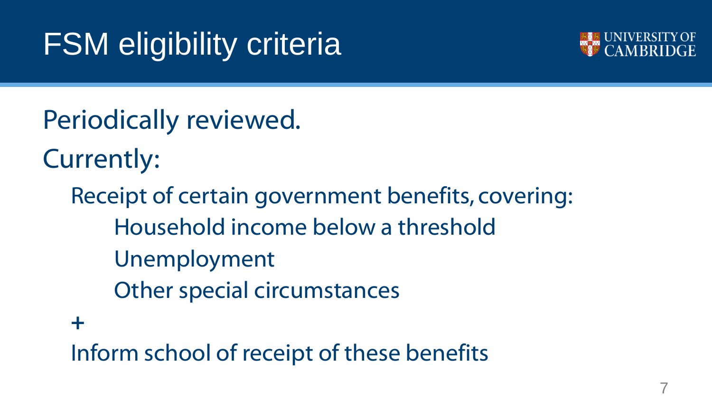# FSM eligibility criteria



Periodically reviewed. Currently:

Receipt of certain government benefits, covering: Household income below a threshold Unemployment Other special circumstances **+**

Inform school of receipt of these benefits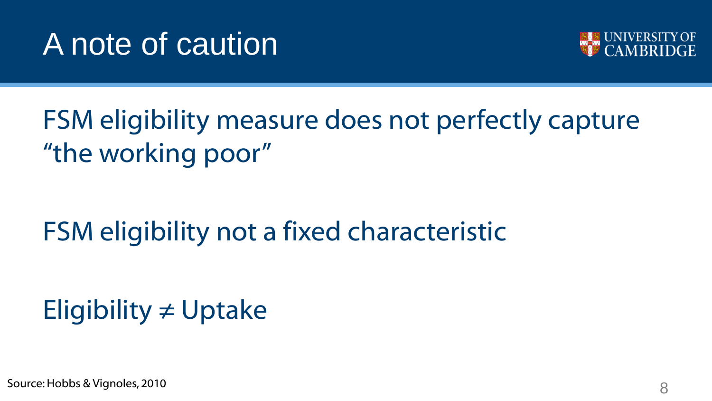# A note of caution



## FSM eligibility measure does not perfectly capture "the working poor"

## FSM eligibility not a fixed characteristic

## Eligibility ≠ Uptake

Source: Hobbs & Vignoles, 2010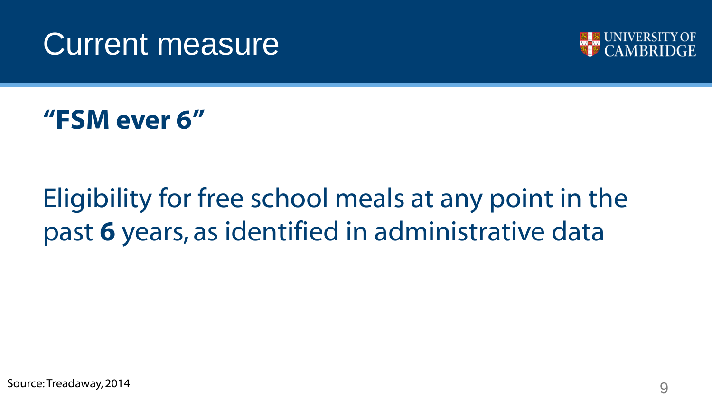



**"FSM ever 6"**

## Eligibility for free school meals at any point in the past **6** years, as identified in administrative data

Source: Treadaway, 2014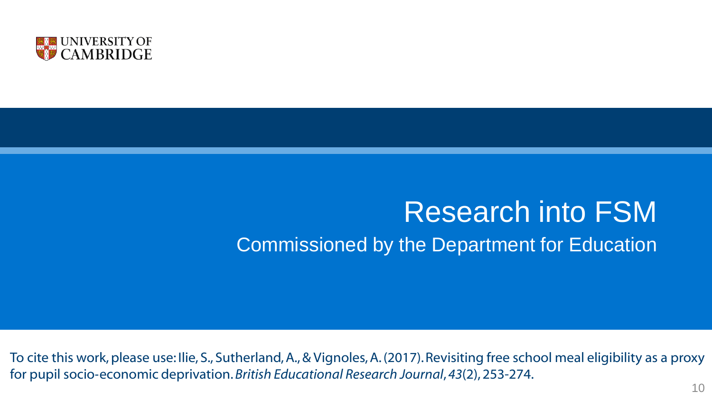

## Research into FSM Commissioned by the Department for Education

To cite this work, please use: Ilie, S., Sutherland, A., & Vignoles, A. (2017). Revisiting free school meal eligibility as a proxy for pupil socio‐economic deprivation.*British Educational Research Journal*, *43*(2), 253-274.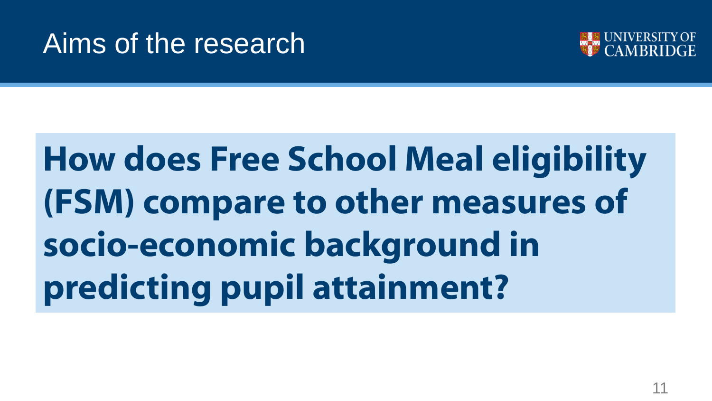## Aims of the research



# **How does Free School Meal eligibility (FSM) compare to other measures of socio-economic background in predicting pupil attainment?**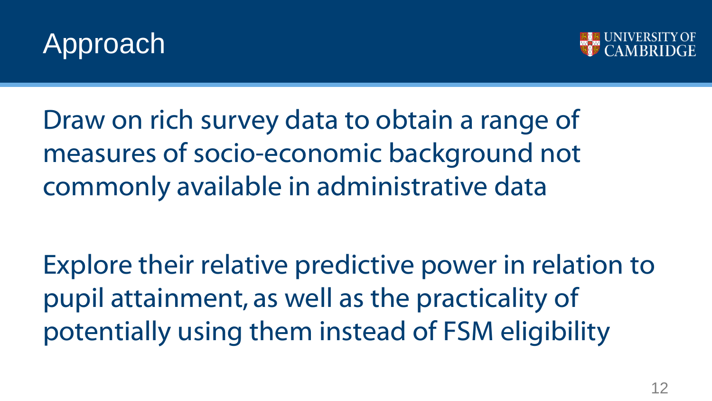



Draw on rich survey data to obtain a range of measures of socio-economic background not commonly available in administrative data

Explore their relative predictive power in relation to pupil attainment, as well as the practicality of potentially using them instead of FSM eligibility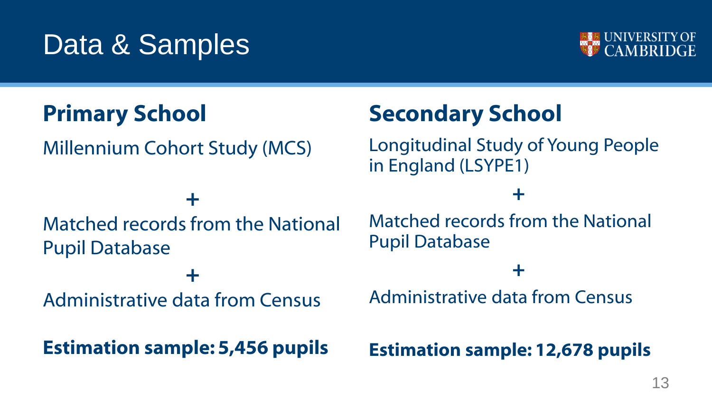## Data & Samples



## **Primary School**

Millennium Cohort Study (MCS)

### **+** Matched records from the National Pupil Database

**+**

Administrative data from Census

**Estimation sample: 5,456 pupils**

## **Secondary School**

Longitudinal Study of Young People in England (LSYPE1)

#### **+**

Matched records from the National Pupil Database

#### **+**

Administrative data from Census

#### **Estimation sample: 12,678 pupils**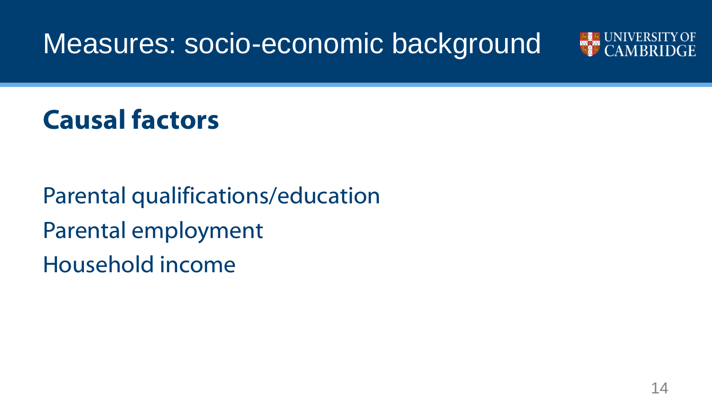Measures: socio-economic background



## **Causal factors**

Parental qualifications/education Parental employment Household income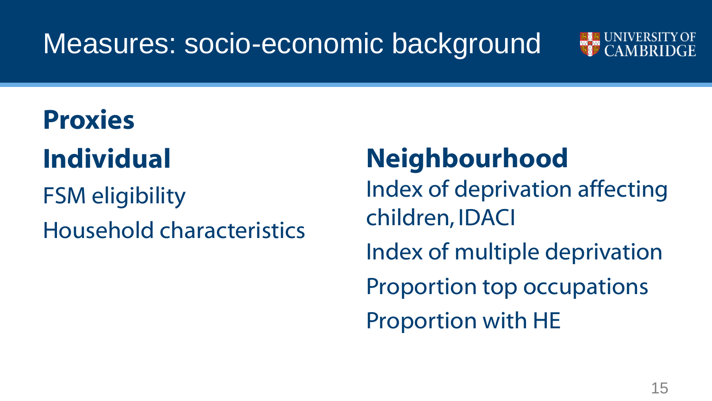## Measures: socio-economic background



# **Proxies Individual**

FSM eligibility Household characteristics

# **Neighbourhood**

Index of deprivation affecting children, IDACI Index of multiple deprivation Proportion top occupations

Proportion with HE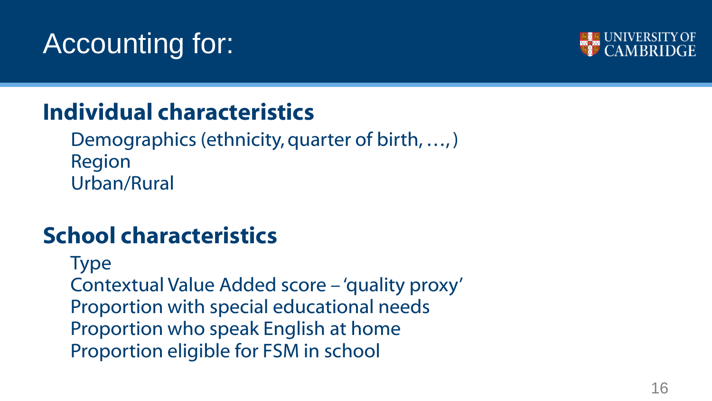# Accounting for:



## **Individual characteristics**

Demographics (ethnicity, quarter of birth, …, ) Region Urban/Rural

### **School characteristics**

Type Contextual Value Added score – 'quality proxy' Proportion with special educational needs Proportion who speak English at home Proportion eligible for FSM in school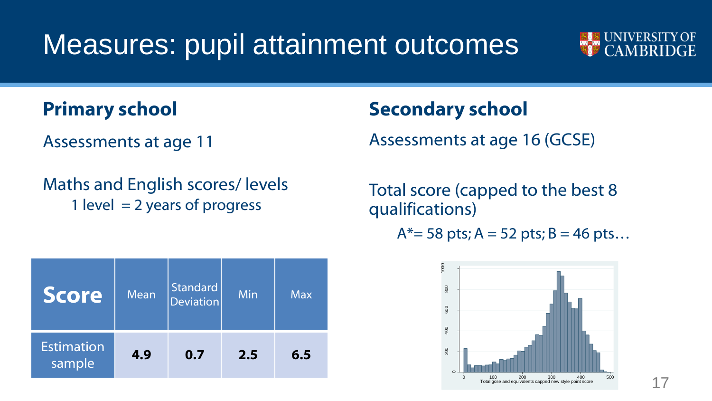Measures: pupil attainment outcomes



#### **Primary school**

Assessments at age 11

Maths and English scores/ levels 1 level  $= 2$  years of progress

#### **Secondary school**

Assessments at age 16 (GCSE)

Total score (capped to the best 8 qualifications)

 $A^*=$  58 pts; A = 52 pts; B = 46 pts...



| <b>Score</b>                | <b>Mean</b> | Standard<br><b>Deviation</b> | Min | <b>Max</b> |
|-----------------------------|-------------|------------------------------|-----|------------|
| <b>Estimation</b><br>sample | 4.9         | 0.7                          | 2.5 | 6.5        |

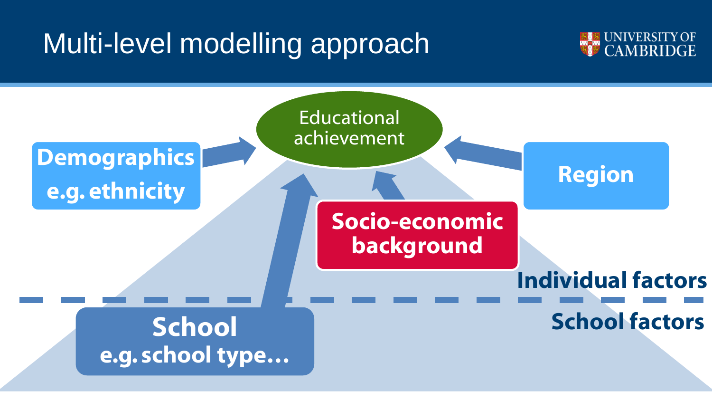## Multi-level modelling approach



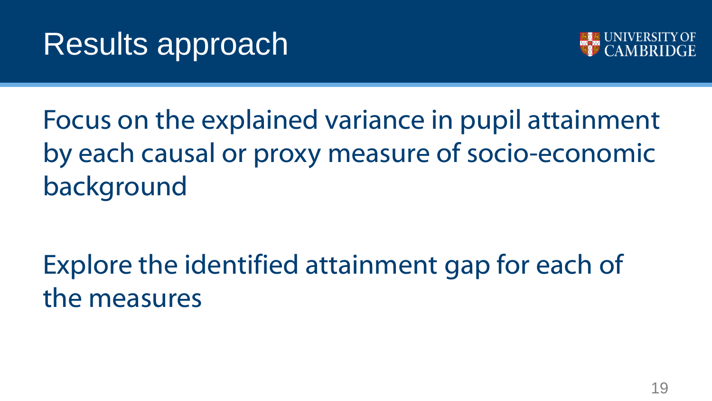# Results approach



Focus on the explained variance in pupil attainment by each causal or proxy measure of socio-economic background

Explore the identified attainment gap for each of the measures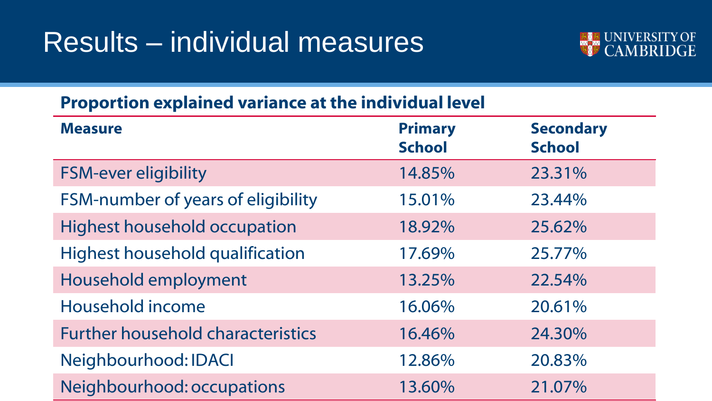## Results – individual measures



#### **Proportion explained variance at the individual level**

| <b>Measure</b>                           | <b>Primary</b><br><b>School</b> | <b>Secondary</b><br><b>School</b> |
|------------------------------------------|---------------------------------|-----------------------------------|
| <b>FSM-ever eligibility</b>              | 14.85%                          | 23.31%                            |
| FSM-number of years of eligibility       | 15.01%                          | 23.44%                            |
| <b>Highest household occupation</b>      | 18.92%                          | 25.62%                            |
| Highest household qualification          | 17.69%                          | 25.77%                            |
| Household employment                     | 13.25%                          | 22.54%                            |
| Household income                         | 16.06%                          | 20.61%                            |
| <b>Further household characteristics</b> | 16.46%                          | 24.30%                            |
| Neighbourhood: IDACI                     | 12.86%                          | 20.83%                            |
| Neighbourhood: occupations               | 13.60%                          | 21.07%                            |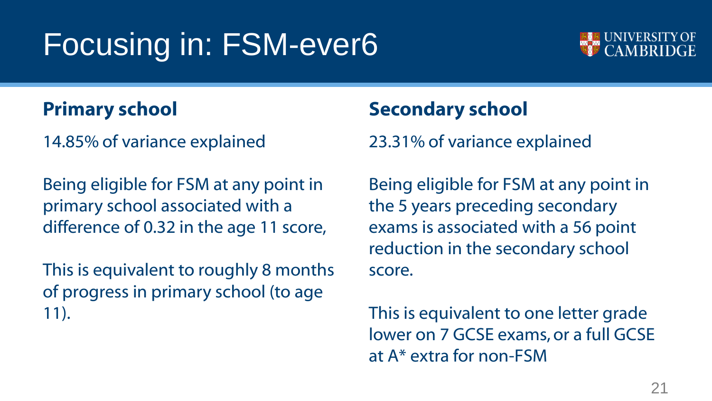# Focusing in: FSM-ever6



#### **Primary school**

14.85% of variance explained

Being eligible for FSM at any point in primary school associated with a difference of 0.32 in the age 11 score,

This is equivalent to roughly 8 months of progress in primary school (to age 11).

#### **Secondary school**

23.31% of variance explained

Being eligible for FSM at any point in the 5 years preceding secondary exams is associated with a 56 point reduction in the secondary school score.

This is equivalent to one letter grade lower on 7 GCSE exams, or a full GCSE at A\* extra for non-FSM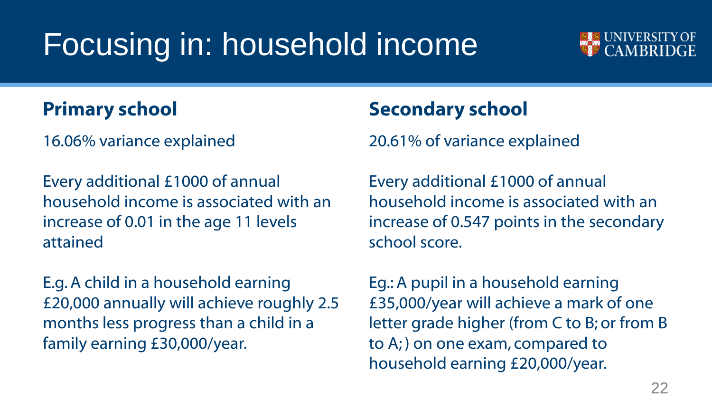# Focusing in: household income



#### **Primary school**

16.06% variance explained

Every additional £1000 of annual household income is associated with an increase of 0.01 in the age 11 levels attained

E.g. A child in a household earning £20,000 annually will achieve roughly 2.5 months less progress than a child in a family earning £30,000/year.

#### **Secondary school**

20.61% of variance explained

Every additional £1000 of annual household income is associated with an increase of 0.547 points in the secondary school score.

Eg.: A pupil in a household earning £35,000/year will achieve a mark of one letter grade higher (from C to B; or from B to A; ) on one exam, compared to household earning £20,000/year.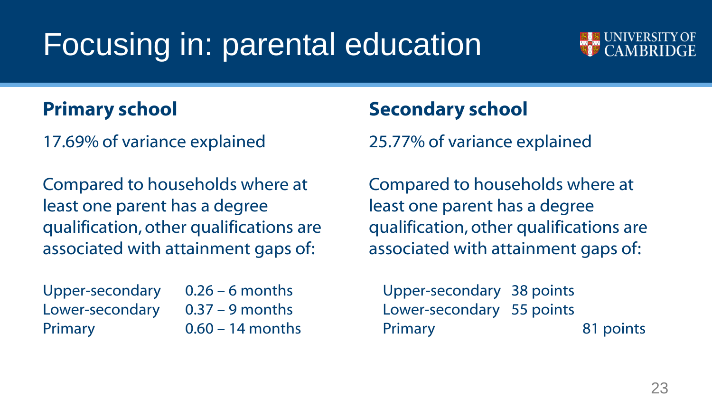# Focusing in: parental education



#### **Primary school**

17.69% of variance explained

Compared to households where at least one parent has a degree qualification, other qualifications are associated with attainment gaps of:

Upper-secondary 0.26 – 6 months Lower-secondary 0.37 – 9 months Primary 0.60 – 14 months

#### **Secondary school**

25.77% of variance explained

Compared to households where at least one parent has a degree qualification, other qualifications are associated with attainment gaps of:

Upper-secondary 38 points Lower-secondary 55 points Primary 81 points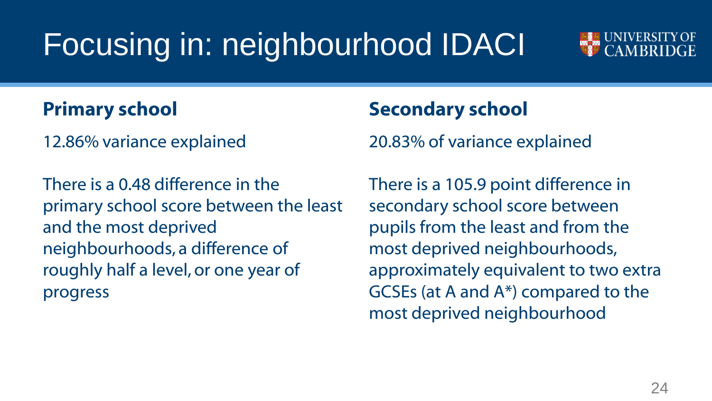# Focusing in: neighbourhood IDACI



#### **Primary school**

12.86% variance explained

There is a 0.48 difference in the primary school score between the least and the most deprived neighbourhoods, a difference of roughly half a level, or one year of progress

#### **Secondary school**

20.83% of variance explained

There is a 105.9 point difference in secondary school score between pupils from the least and from the most deprived neighbourhoods, approximately equivalent to two extra GCSEs (at A and A\*) compared to the most deprived neighbourhood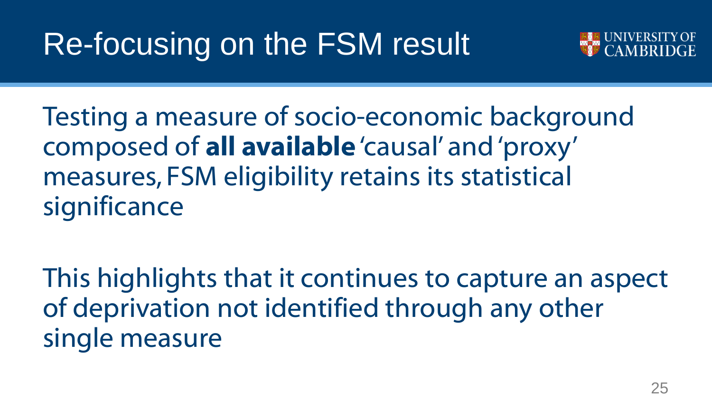# Re-focusing on the FSM result



Testing a measure of socio-economic background composed of **all available** 'causal' and 'proxy' measures, FSM eligibility retains its statistical significance

This highlights that it continues to capture an aspect of deprivation not identified through any other single measure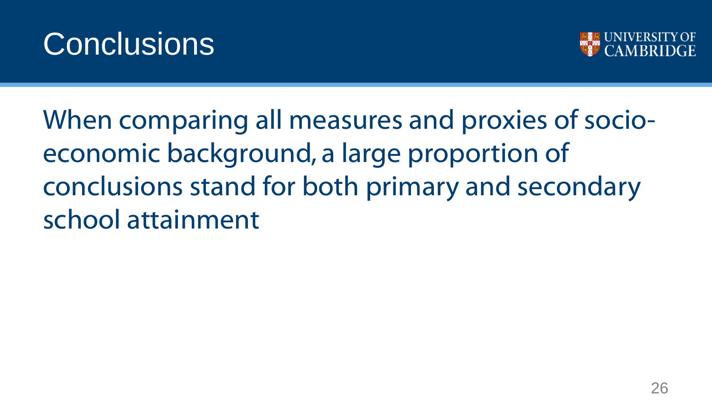



When comparing all measures and proxies of socioeconomic background, a large proportion of conclusions stand for both primary and secondary school attainment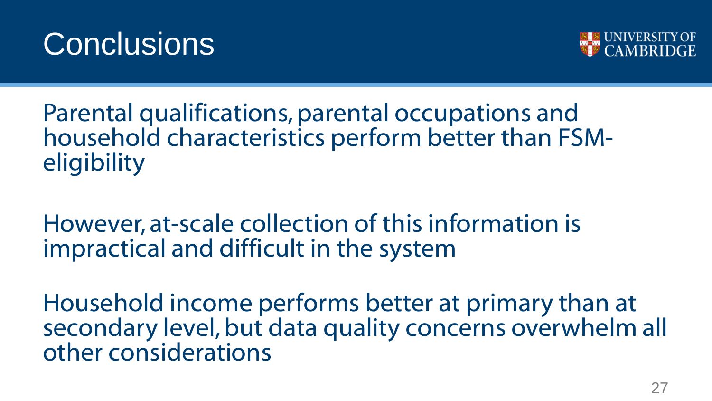



Parental qualifications, parental occupations and household characteristics perform better than FSM**eligibility** 

However, at-scale collection of this information is impractical and difficult in the system

Household income performs better at primary than at secondary level, but data quality concerns overwhelm all other considerations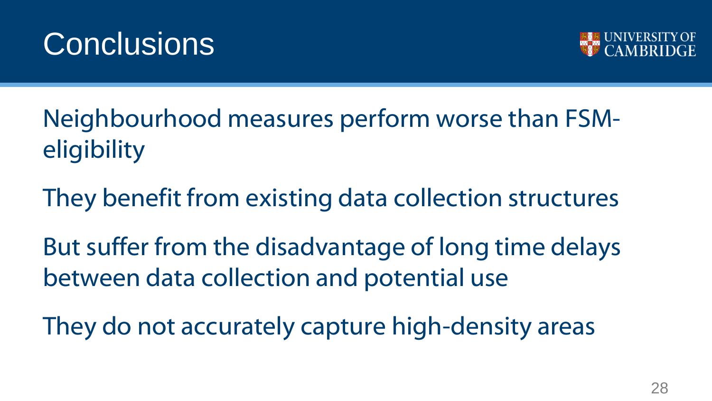



Neighbourhood measures perform worse than FSM**eligibility** 

They benefit from existing data collection structures

But suffer from the disadvantage of long time delays between data collection and potential use

They do not accurately capture high-density areas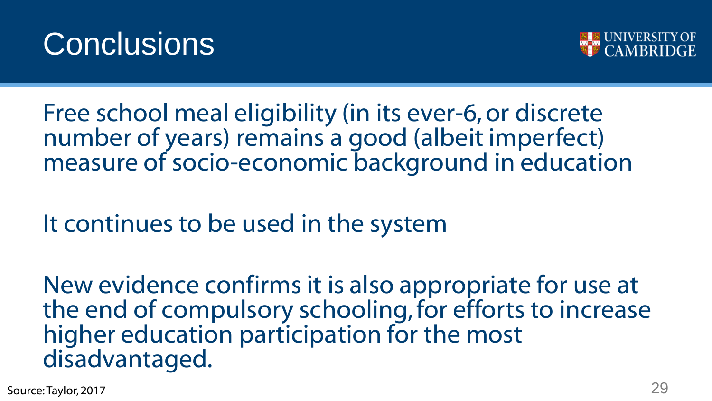



Free school meal eligibility (in its ever-6, or discrete number of years) remains a good (albeit imperfect) measure of socio-economic background in education

It continues to be used in the system

New evidence confirms it is also appropriate for use at the end of compulsory schooling, for efforts to increase higher education participation for the most disadvantaged.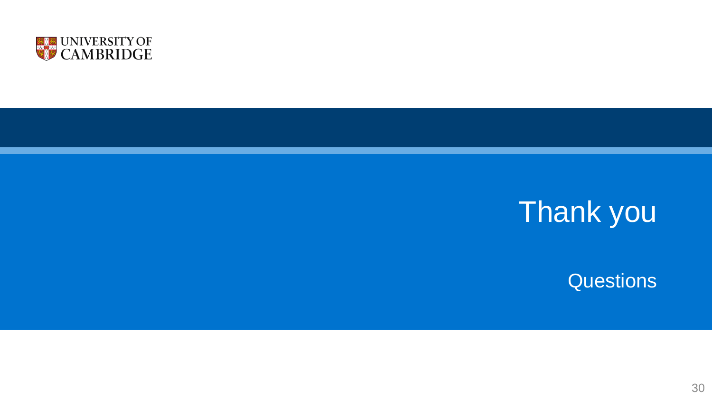

# Thank you

Questions